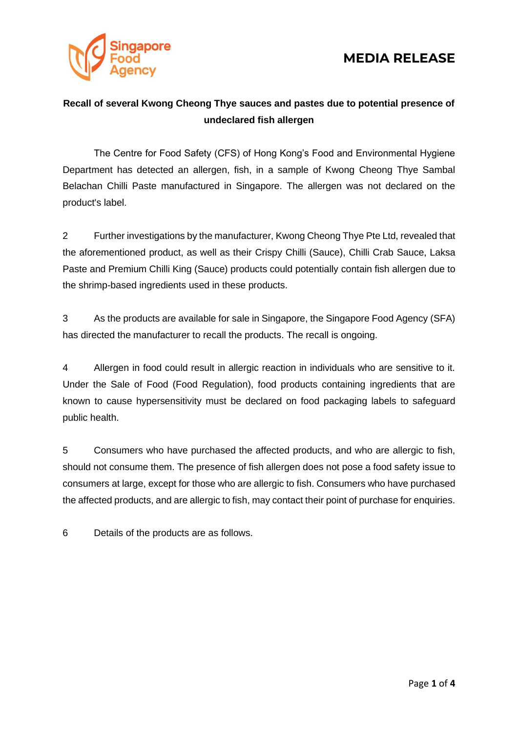



### **Recall of several Kwong Cheong Thye sauces and pastes due to potential presence of undeclared fish allergen**

The Centre for Food Safety (CFS) of Hong Kong's Food and Environmental Hygiene Department has detected an allergen, fish, in a sample of Kwong Cheong Thye Sambal Belachan Chilli Paste manufactured in Singapore. The allergen was not declared on the product's label.

2 Further investigations by the manufacturer, Kwong Cheong Thye Pte Ltd, revealed that the aforementioned product, as well as their Crispy Chilli (Sauce), Chilli Crab Sauce, Laksa Paste and Premium Chilli King (Sauce) products could potentially contain fish allergen due to the shrimp-based ingredients used in these products.

3 As the products are available for sale in Singapore, the Singapore Food Agency (SFA) has directed the manufacturer to recall the products. The recall is ongoing.

4 Allergen in food could result in allergic reaction in individuals who are sensitive to it. Under the Sale of Food (Food Regulation), food products containing ingredients that are known to cause hypersensitivity must be declared on food packaging labels to safeguard public health.

5 Consumers who have purchased the affected products, and who are allergic to fish, should not consume them. The presence of fish allergen does not pose a food safety issue to consumers at large, except for those who are allergic to fish. Consumers who have purchased the affected products, and are allergic to fish, may contact their point of purchase for enquiries.

6 Details of the products are as follows.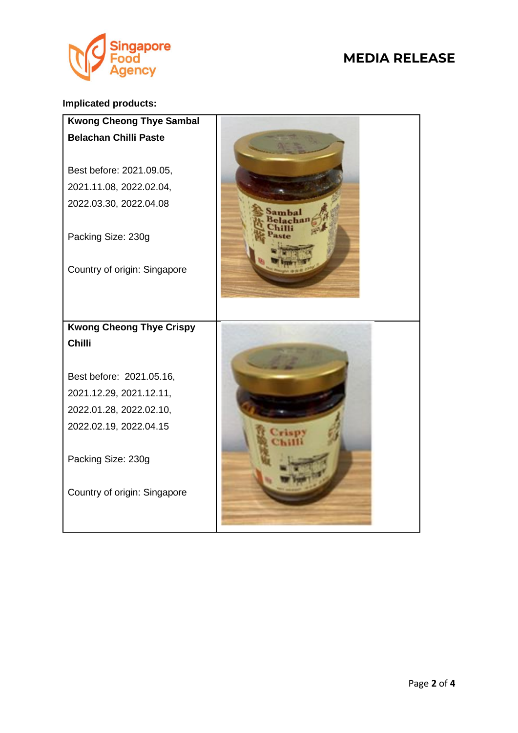

## **MEDIA RELEASE**

#### **Implicated products:**

| <b>Kwong Cheong Thye Sambal</b> |  |
|---------------------------------|--|
| <b>Belachan Chilli Paste</b>    |  |
| Best before: 2021.09.05,        |  |
| 2021.11.08, 2022.02.04,         |  |
| 2022.03.30, 2022.04.08          |  |
| Packing Size: 230g              |  |
| Country of origin: Singapore    |  |
|                                 |  |
| <b>Kwong Cheong Thye Crispy</b> |  |
|                                 |  |
| <b>Chilli</b>                   |  |
|                                 |  |
| Best before: 2021.05.16,        |  |
| 2021.12.29, 2021.12.11,         |  |
| 2022.01.28, 2022.02.10,         |  |
| 2022.02.19, 2022.04.15          |  |
| Packing Size: 230g              |  |
| Country of origin: Singapore    |  |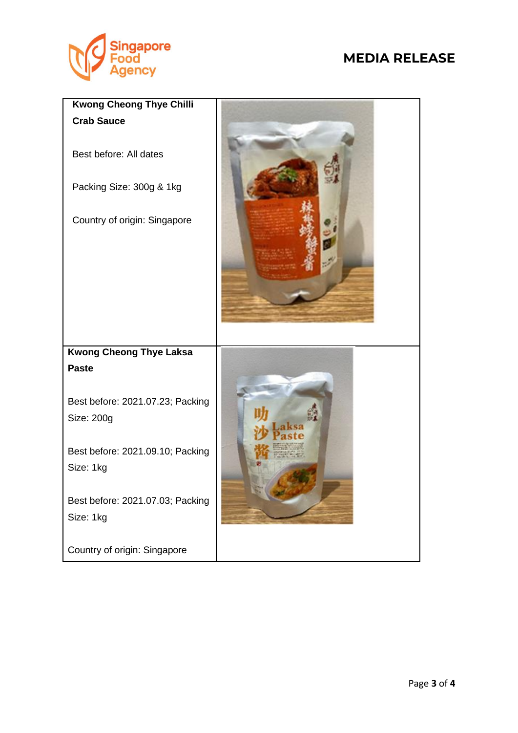

# **MEDIA RELEASE**

| <b>Kwong Cheong Thye Chilli</b>                |  |
|------------------------------------------------|--|
| <b>Crab Sauce</b>                              |  |
| Best before: All dates                         |  |
| Packing Size: 300g & 1kg                       |  |
| Country of origin: Singapore                   |  |
| <b>Kwong Cheong Thye Laksa</b>                 |  |
| <b>Paste</b>                                   |  |
| Best before: 2021.07.23; Packing<br>Size: 200g |  |
| Best before: 2021.09.10; Packing<br>Size: 1kg  |  |
| Best before: 2021.07.03; Packing<br>Size: 1kg  |  |
| Country of origin: Singapore                   |  |